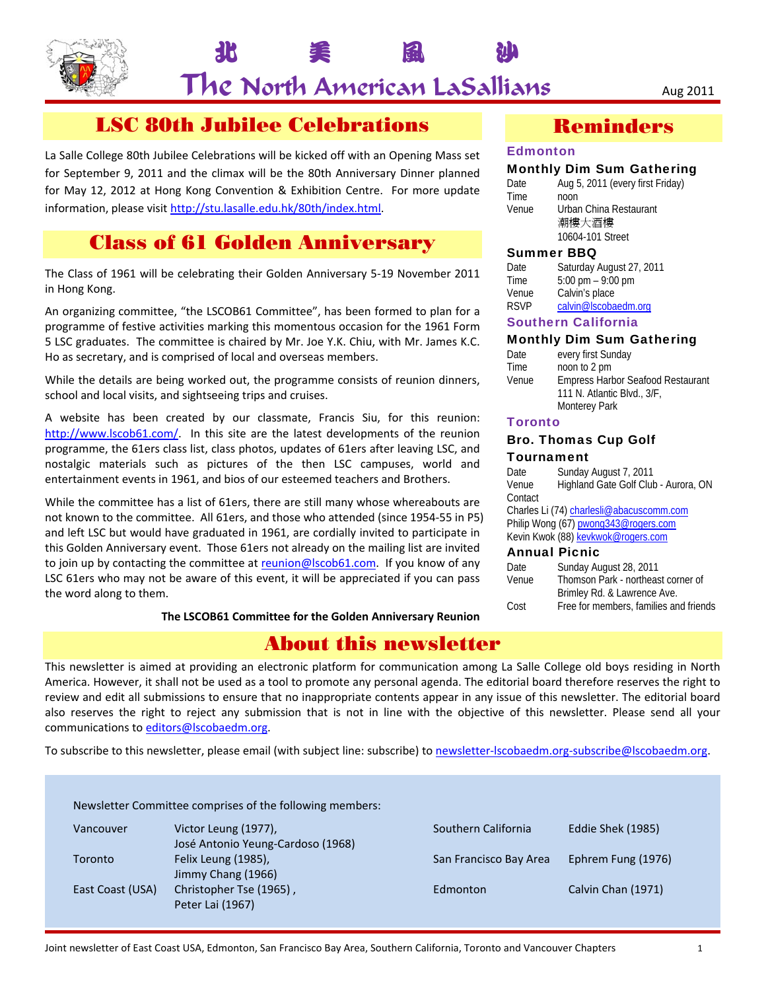

 $\mathsf{The}$  North American LaSallians  $\mathsf{A}_{\mathsf{Ug}\, 2011}$ 

北 美 風 沙

# LSC 80th Jubilee Celebrations

La Salle College 80th Jubilee Celebrations will be kicked off with an Opening Mass set for September 9, 2011 and the climax will be the 80th Anniversary Dinner planned for May 12, 2012 at Hong Kong Convention & Exhibition Centre. For more update information, please visit http://stu.lasalle.edu.hk/80th/index.html.

# Class of 61 Golden Anniversary

The Class of 1961 will be celebrating their Golden Anniversary 5‐19 November 2011 in Hong Kong.

An organizing committee, "the LSCOB61 Committee", has been formed to plan for a programme of festive activities marking this momentous occasion for the 1961 Form 5 LSC graduates. The committee is chaired by Mr. Joe Y.K. Chiu, with Mr. James K.C. Ho as secretary, and is comprised of local and overseas members.

While the details are being worked out, the programme consists of reunion dinners, school and local visits, and sightseeing trips and cruises.

A website has been created by our classmate, Francis Siu, for this reunion: http://www.lscob61.com/. In this site are the latest developments of the reunion programme, the 61ers class list, class photos, updates of 61ers after leaving LSC, and nostalgic materials such as pictures of the then LSC campuses, world and entertainment events in 1961, and bios of our esteemed teachers and Brothers.

While the committee has a list of 61ers, there are still many whose whereabouts are not known to the committee. All 61ers, and those who attended (since 1954‐55 in P5) and left LSC but would have graduated in 1961, are cordially invited to participate in this Golden Anniversary event. Those 61ers not already on the mailing list are invited to join up by contacting the committee at reunion@lscob61.com. If you know of any LSC 61ers who may not be aware of this event, it will be appreciated if you can pass the word along to them.

**The LSCOB61 Committee for the Golden Anniversary Reunion**

## About this newsletter

This newsletter is aimed at providing an electronic platform for communication among La Salle College old boys residing in North America. However, it shall not be used as a tool to promote any personal agenda. The editorial board therefore reserves the right to review and edit all submissions to ensure that no inappropriate contents appear in any issue of this newsletter. The editorial board also reserves the right to reject any submission that is not in line with the objective of this newsletter. Please send all your communications to editors@lscobaedm.org.

To subscribe to this newsletter, please email (with subject line: subscribe) to newsletter-lscobaedm.org-subscribe@lscobaedm.org.

| Vancouver        | Victor Leung (1977),<br>José Antonio Yeung-Cardoso (1968) | Southern California    | Eddie Shek (1985)  |
|------------------|-----------------------------------------------------------|------------------------|--------------------|
| Toronto          | Felix Leung (1985),<br>Jimmy Chang (1966)                 | San Francisco Bay Area | Ephrem Fung (1976) |
| East Coast (USA) | Christopher Tse (1965),<br>Peter Lai (1967)               | Edmonton               | Calvin Chan (1971) |

## Reminders

## **Edmonton**

## Monthly Dim Sum Gathering

| Date  | Aug 5, 2011 (every first Friday) |
|-------|----------------------------------|
| Time  | noon                             |
| Venue | Urban China Restaurant           |
|       | 潮樓大酒樓                            |
|       | 10604-101 Street                 |
|       |                                  |

#### Summer BBQ

| Date  | Saturday August 27, 2011            |
|-------|-------------------------------------|
| Time  | $5:00 \text{ pm} - 9:00 \text{ pm}$ |
| Venue | Calvin's place                      |
| RSVP  | calvin@lscobaedm.org                |

## Southern California

## Monthly Dim Sum Gathering

| Date  | every first Sunday                       |
|-------|------------------------------------------|
| Time  | noon to 2 pm                             |
| Venue | <b>Empress Harbor Seafood Restaurant</b> |
|       | 111 N. Atlantic Blvd., 3/F,              |
|       | <b>Monterey Park</b>                     |
|       |                                          |

## **Toronto**

## Bro. Thomas Cup Golf

#### **Tournament**

| Date          | Sunday August 7, 2011                    |  |
|---------------|------------------------------------------|--|
| Venue         | Highland Gate Golf Club - Aurora, ON     |  |
| Contact       |                                          |  |
|               | Charles Li (74) charlesli@abacuscomm.com |  |
|               | Philip Wong (67) pwong343@rogers.com     |  |
|               | Kevin Kwok (88) kevkwok@rogers.com       |  |
| Annual Picnic |                                          |  |
| Date          | Sunday August 28, 2011                   |  |
|               |                                          |  |

| Venue | Thomson Park - northeast corner of     |
|-------|----------------------------------------|
|       | Brimley Rd. & Lawrence Ave.            |
| Cost  | Free for members, families and friends |
|       |                                        |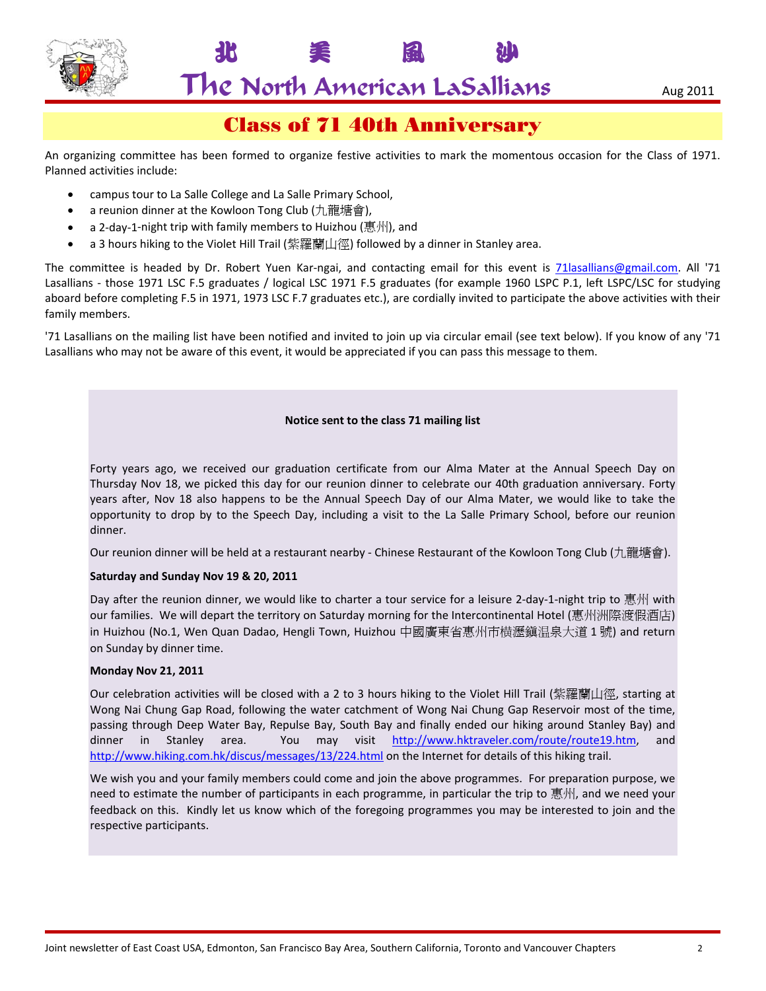

# The North American LaSallians  $\overline{\phantom{a}}_{\rm Aug\,2011}$

北 美 風 沙

# Class of 71 40th Anniversary

An organizing committee has been formed to organize festive activities to mark the momentous occasion for the Class of 1971. Planned activities include:

- campus tour to La Salle College and La Salle Primary School,
- a reunion dinner at the Kowloon Tong Club (九龍塘會),
- a 2‐day‐1‐night trip with family members to Huizhou (惠州), and
- a 3 hours hiking to the Violet Hill Trail (紫羅蘭山徑) followed by a dinner in Stanley area.

The committee is headed by Dr. Robert Yuen Kar-ngai, and contacting email for this event is **71lasallians@gmail.com**. All '71 Lasallians - those 1971 LSC F.5 graduates / logical LSC 1971 F.5 graduates (for example 1960 LSPC P.1, left LSPC/LSC for studying aboard before completing F.5 in 1971, 1973 LSC F.7 graduates etc.), are cordially invited to participate the above activities with their family members.

'71 Lasallians on the mailing list have been notified and invited to join up via circular email (see text below). If you know of any '71 Lasallians who may not be aware of this event, it would be appreciated if you can pass this message to them.

## **Notice sent to the class 71 mailing list**

Forty years ago, we received our graduation certificate from our Alma Mater at the Annual Speech Day on Thursday Nov 18, we picked this day for our reunion dinner to celebrate our 40th graduation anniversary. Forty years after, Nov 18 also happens to be the Annual Speech Day of our Alma Mater, we would like to take the opportunity to drop by to the Speech Day, including a visit to the La Salle Primary School, before our reunion dinner.

Our reunion dinner will be held at a restaurant nearby - Chinese Restaurant of the Kowloon Tong Club (九龍塘會).

## **Saturday and Sunday Nov 19 & 20, 2011**

Day after the reunion dinner, we would like to charter a tour service for a leisure 2-day-1-night trip to 惠州 with our families. We will depart the territory on Saturday morning for the Intercontinental Hotel (惠州洲際渡假酒店) in Huizhou (No.1, Wen Quan Dadao, Hengli Town, Huizhou 中國廣東省惠州市横瀝鎮温泉大道 1 號) and return on Sunday by dinner time.

#### **Monday Nov 21, 2011**

Our celebration activities will be closed with a 2 to 3 hours hiking to the Violet Hill Trail (紫羅蘭山徑, starting at Wong Nai Chung Gap Road, following the water catchment of Wong Nai Chung Gap Reservoir most of the time, passing through Deep Water Bay, Repulse Bay, South Bay and finally ended our hiking around Stanley Bay) and dinner in Stanley area. You may visit http://www.hktraveler.com/route/route19.htm, and http://www.hiking.com.hk/discus/messages/13/224.html on the Internet for details of this hiking trail.

We wish you and your family members could come and join the above programmes. For preparation purpose, we need to estimate the number of participants in each programme, in particular the trip to 惠州, and we need your feedback on this. Kindly let us know which of the foregoing programmes you may be interested to join and the respective participants.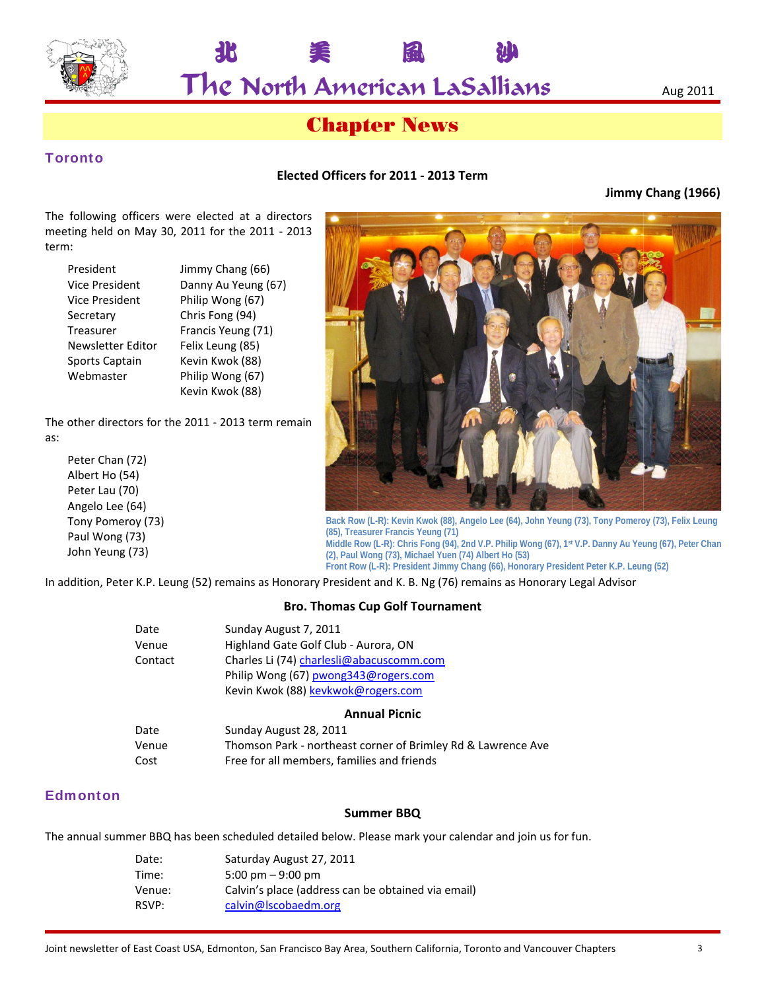

The North American LaSallians

## **Chapter News**

## **Toronto**

## Elected Officers for 2011 - 2013 Term

Jimmy Chang (1966)

The following officers were elected at a directors meeting held on May 30, 2011 for the 2011 - 2013 term:

北

| President             | Jimmy Chang (66)    |
|-----------------------|---------------------|
| <b>Vice President</b> | Danny Au Yeung (67) |
| <b>Vice President</b> | Philip Wong (67)    |
| Secretary             | Chris Fong (94)     |
| Treasurer             | Francis Yeung (71)  |
| Newsletter Editor     | Felix Leung (85)    |
| Sports Captain        | Kevin Kwok (88)     |
| Webmaster             | Philip Wong (67)    |
|                       | Kevin Kwok (88)     |

The other directors for the 2011 - 2013 term remain as:

Peter Chan (72) Albert Ho (54) Peter Lau (70) Angelo Lee (64) Tony Pomeroy (73) Paul Wong (73) John Yeung (73)



Back Row (L-R): Kevin Kwok (88), Angelo Lee (64), John Yeung (73), Tony Pomeroy (73), Felix Leung (85), Treasurer Francis Yeung (71) Middle Row (L-R): Chris Fong (94), 2nd V.P. Philip Wong (67), 1st V.P. Danny Au Yeung (67), Peter Chan (2), Paul Wong (73), Michael Yuen (74) Albert Ho (53) Front Row (L-R): President Jimmy Chang (66), Honorary President Peter K.P. Leung (52)

In addition, Peter K.P. Leung (52) remains as Honorary President and K. B. Ng (76) remains as Honorary Legal Advisor

## **Bro. Thomas Cup Golf Tournament**

| Date            | Sunday August 7, 2011                    |
|-----------------|------------------------------------------|
| Venue           | Highland Gate Golf Club - Aurora, ON     |
| Contact         | Charles Li (74) charlesli@abacuscomm.com |
|                 | Philip Wong (67) pwong343@rogers.com     |
|                 | Kevin Kwok (88) kevkwok@rogers.com       |
|                 | <b>Annual Picnic</b>                     |
| Date            | Sunday August 28, 2011                   |
| $\cdot$ $\cdot$ | .                                        |

| vale  | <b>JUILLAY AURUST ZO, ZUIL</b>                               |
|-------|--------------------------------------------------------------|
| Venue | Thomson Park - northeast corner of Brimley Rd & Lawrence Ave |
| Cost  | Free for all members, families and friends                   |

## **Edmonton**

## **Summer BBQ**

The annual summer BBQ has been scheduled detailed below. Please mark your calendar and join us for fun.

| Saturday August 27, 2011                           |
|----------------------------------------------------|
| 5:00 pm $-9:00$ pm                                 |
| Calvin's place (address can be obtained via email) |
| calvin@lscobaedm.org                               |
|                                                    |